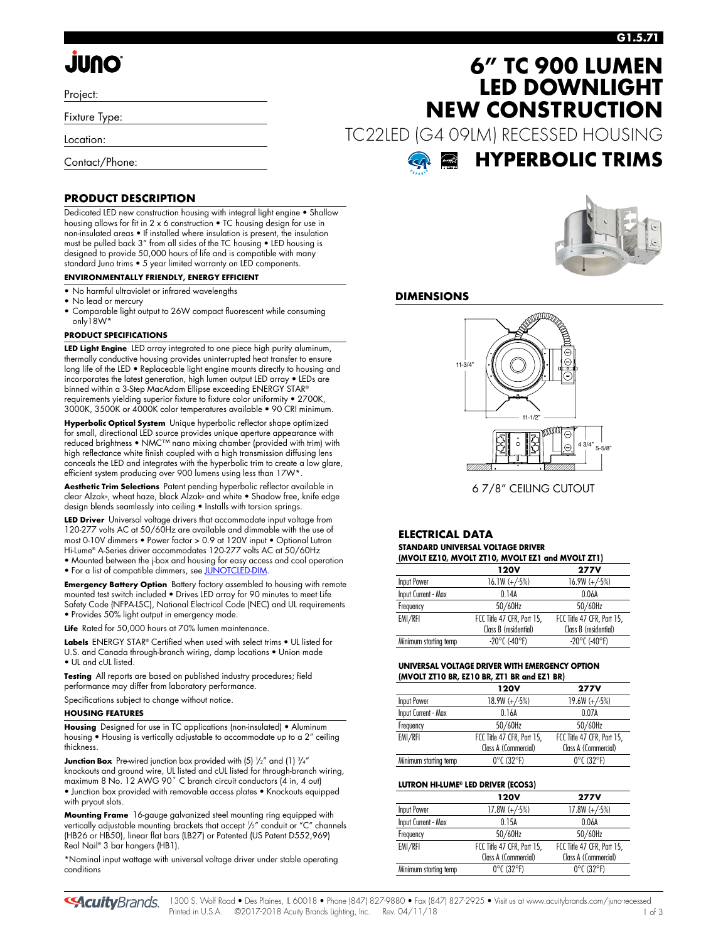# **JUNO**

Project:

Fixture Type:

Location:

Contact/Phone:

## **G1.5.71**

## **6" TC 900 LUMEN LED DOWNLIGHT NEW CONSTRUCTION**

TC22LED (G4 09LM) RECESSED HOUSING



## **PRODUCT DESCRIPTION**

Dedicated LED new construction housing with integral light engine • Shallow housing allows for fit in 2 x 6 construction • TC housing design for use in non-insulated areas • If installed where insulation is present, the insulation must be pulled back 3" from all sides of the TC housing • LED housing is designed to provide 50,000 hours of life and is compatible with many standard Juno trims • 5 year limited warranty on LED components.

## **ENVIRONMENTALLY FRIENDLY, ENERGY EFFICIENT**

- No harmful ultraviolet or infrared wavelengths
- No lead or mercury
- Comparable light output to 26W compact fluorescent while consuming only18W\*

### **PRODUCT SPECIFICATIONS**

**LED Light Engine** LED array integrated to one piece high purity aluminum, thermally conductive housing provides uninterrupted heat transfer to ensure long life of the LED • Replaceable light engine mounts directly to housing and incorporates the latest generation, high lumen output LED array • LEDs are binned within a 3-Step MacAdam Ellipse exceeding ENERGY STAR® requirements yielding superior fixture to fixture color uniformity • 2700K, 3000K, 3500K or 4000K color temperatures available • 90 CRI minimum.

**Hyperbolic Optical System** Unique hyperbolic reflector shape optimized for small, directional LED source provides unique aperture appearance with reduced brightness • NMC™ nano mixing chamber (provided with trim) with high reflectance white finish coupled with a high transmission diffusing lens conceals the LED and integrates with the hyperbolic trim to create a low glare, efficient system producing over 900 lumens using less than 17W\*.

**Aesthetic Trim Selections** Patent pending hyperbolic reflector available in clear Alzak®, wheat haze, black Alzak® and white • Shadow free, knife edge design blends seamlessly into ceiling • Installs with torsion springs.

**LED Driver** Universal voltage drivers that accommodate input voltage from 120-277 volts AC at 50/60Hz are available and dimmable with the use of most 0-10V dimmers • Power factor > 0.9 at 120V input • Optional Lutron Hi-Lume® A-Series driver accommodates 120-277 volts AC at 50/60Hz

• Mounted between the j-box and housing for easy access and cool operation • For a list of compatible dimmers, se[e JUNOTCLED-DIM.](http://www.acuitybrands.com/shell/-/media/Files/Acuity/Other/JUNOICLED-DIM.pdf)

**Emergency Battery Option** Battery factory assembled to housing with remote mounted test switch included • Drives LED array for 90 minutes to meet Life Safety Code (NFPA-LSC), National Electrical Code (NEC) and UL requirements • Provides 50% light output in emergency mode.

Life Rated for 50,000 hours at 70% lumen maintenance.

**Labels** ENERGY STAR® Certified when used with select trims • UL listed for U.S. and Canada through-branch wiring, damp locations • Union made • UL and cUL listed.

**Testing** All reports are based on published industry procedures; field performance may differ from laboratory performance.

Specifications subject to change without notice.

### **HOUSING FEATURES**

**Housing** Designed for use in TC applications (non-insulated) • Aluminum housing • Housing is vertically adjustable to accommodate up to a 2" ceiling thickness.

**Junction Box** Pre-wired junction box provided with (5) 1/2" and (1) 3/4" knockouts and ground wire, UL listed and cUL listed for through-branch wiring, maximum 8 No. 12 AWG 90˚ C branch circuit conductors (4 in, 4 out) • Junction box provided with removable access plates • Knockouts equipped with prvout slots.

**Mounting Frame** 16-gauge galvanized steel mounting ring equipped with vertically adjustable mounting brackets that accept 1 /2" conduit or "C" channels (HB26 or HB50), linear flat bars (LB27) or Patented (US Patent D552,969) Real Nail® 3 bar hangers (HB1).

\*Nominal input wattage with universal voltage driver under stable operating conditions



### **DIMENSIONS**



6 7/8" CEILING CUTOUT

#### **ELECTRICAL DATA STANDARD UNIVERSAL VOLTAGE DRIVER (MVOLT EZ10, MVOLT ZT10, MVOLT EZ1 and MVOLT ZT1)**

| $(0.01$ version $V$ , $(0.01$ version $V$ , $(0.01)$ version $V$ . The $V$ version $V$ |                                    |                            |  |  |  |
|----------------------------------------------------------------------------------------|------------------------------------|----------------------------|--|--|--|
|                                                                                        | 120V                               | <b>277V</b>                |  |  |  |
| Input Power                                                                            | $16.1W (+/-5%)$                    | $16.9W (+/-5%)$            |  |  |  |
| Input Current - Max                                                                    | 0.14A                              | 0.06A                      |  |  |  |
| Frequency                                                                              | 50/60Hz                            | 50/60Hz                    |  |  |  |
| EMI/RFI                                                                                | FCC Title 47 CFR, Part 15,         | FCC Title 47 CFR, Part 15, |  |  |  |
|                                                                                        | Class B (residential)              | Class B (residential)      |  |  |  |
| Minimum starting temp                                                                  | $-20^{\circ}$ C (-40 $^{\circ}$ F) | $-20^{\circ}$ C (-40°F)    |  |  |  |
|                                                                                        |                                    |                            |  |  |  |

#### **UNIVERSAL VOLTAGE DRIVER WITH EMERGENCY OPTION (MVOLT ZT10 BR, EZ10 BR, ZT1 BR and EZ1 BR)**

| <b>120V</b>                     | <b>277V</b>                     |
|---------------------------------|---------------------------------|
| $18.9W (+/-5%)$                 | $19.6W (+/-5%)$                 |
| 0.16A                           | 0.07A                           |
| 50/60Hz                         | 50/60Hz                         |
| FCC Title 47 CFR, Part 15,      | FCC Title 47 CFR, Part 15,      |
| Class A (Commercial)            | Class A (Commercial)            |
| $0^{\circ}$ C (32 $^{\circ}$ F) | $0^{\circ}$ C (32 $^{\circ}$ F) |
|                                 |                                 |

### **LUTRON HI-LUME® LED DRIVER (ECOS3)**

|                       | 120V                            | <b>277V</b>                     |
|-----------------------|---------------------------------|---------------------------------|
| <b>Input Power</b>    | $17.8W (+/-5%)$                 | $17.8W (+/-5%)$                 |
| Input Current - Max   | 0.15A                           | 0.06A                           |
| Frequency             | 50/60Hz                         | 50/60Hz                         |
| EMI/RFI               | FCC Title 47 CFR, Part 15,      | FCC Title 47 CFR, Part 15,      |
|                       | Class A (Commercial)            | Class A (Commercial)            |
| Minimum starting temp | $0^{\circ}$ C (32 $^{\circ}$ F) | $0^{\circ}$ C (32 $^{\circ}$ F) |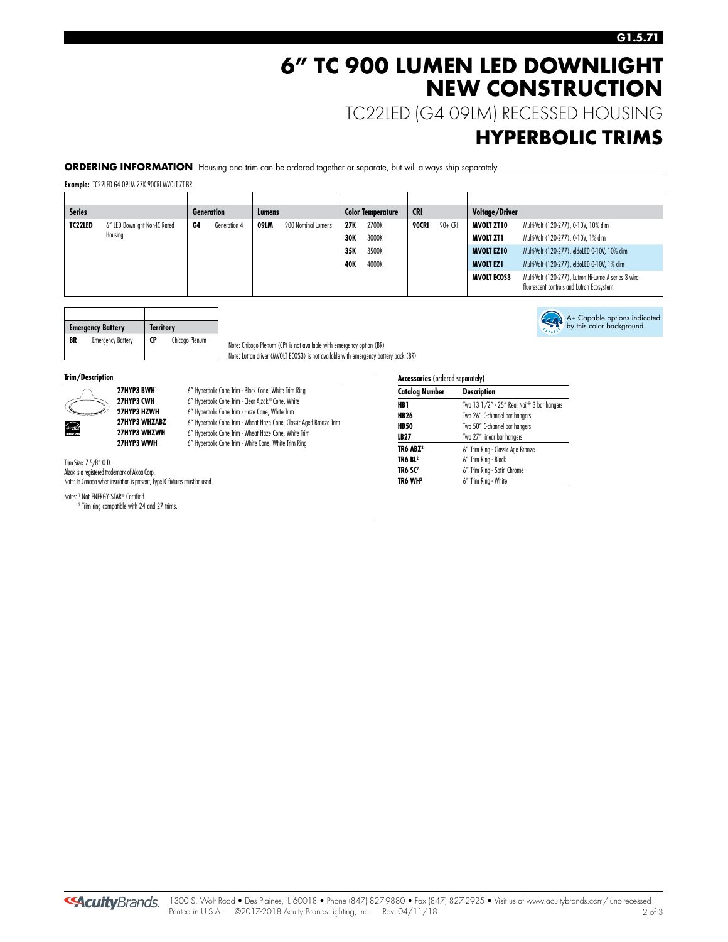## **6" TC 900 LUMEN LED DOWNLIGHT NEW CONSTRUCTION**

TC22LED (G4 09LM) RECESSED HOUSING

## **HYPERBOLIC TRIMS**

A+ Capable options indicated by this color background

**ORDERING INFORMATION** Housing and trim can be ordered together or separate, but will always ship separately.

**Example:** TC22LED G4 09LM 27K 90CRI MVOLT ZT BR

| <b>Series</b> |                               |    | <b>Generation</b> | Lumens |                    |            | <b>Color Temperature</b> | <b>CRI</b> |         | <b>Voltage/Driver</b> |                                                                                                   |
|---------------|-------------------------------|----|-------------------|--------|--------------------|------------|--------------------------|------------|---------|-----------------------|---------------------------------------------------------------------------------------------------|
| TC22LED       | 6" LED Downlight Non-IC Rated | G4 | Generation 4      | 09LM   | 900 Nominal Lumens | 27K        | 2700K                    | 90CRI      | 90+ CRI | MVOLT ZT10            | Multi-Volt (120-277), 0-10V, 10% dim                                                              |
|               | Housing                       |    |                   |        |                    | 30K        | 3000K                    |            |         | MVOLT ZT1             | Multi-Volt (120-277), 0-10V, 1% dim                                                               |
|               |                               |    |                   |        |                    | 35K        | 3500K                    |            |         | <b>MVOLT EZ10</b>     | Multi-Volt (120-277), eldoLED 0-10V, 10% dim                                                      |
|               |                               |    |                   |        |                    | <b>40K</b> | 4000K                    |            |         | <b>MVOLT EZ1</b>      | Multi-Volt (120-277), eldoLED 0-10V, 1% dim                                                       |
|               |                               |    |                   |        |                    |            |                          |            |         | <b>MVOLT ECOS3</b>    | Multi-Volt (120-277), Lutron Hi-Lume A series 3 wire<br>fluorescent controls and Lutron Ecosystem |

|    | <b>Emergency Battery</b> | <b>Territory</b> |                |
|----|--------------------------|------------------|----------------|
| BR | <b>Emergency Battery</b> | CP               | Chicago Plenum |

Note: Chicago Plenum (CP) is not available with emergency option (BR) Note: Lutron driver (MVOLT ECOS3) is not available with emergency battery pack (BR)

**Trim/Description** 



27HYP3 BWH<sup>1</sup> 6" Hyperbolic Cone Trim - Black Cone, White Trim Ring **27HYP3 CWH** 6" Hyperbolic Cone Trim - Clear Alzak® Cone, White<br>**27HYP3 HZWH** 6" Hyperbolic Cone Trim - Haze Cone, White Trim **27HYP3 HZWH** 6" Hyperbolic Cone Trim - Haze Cone, White Trim 27HYP3 WHZABZ 6" Hyperbolic Cone Trim - Wheat Haze Cone, Classic Aged Bronze Trim

**27HYP3 WHZWH** 6" Hyperbolic Cone Trim - Wheat Haze Cone, White Trim<br>**27HYP3 WWH** 6" Hyperbolic Cone Trim - White Cone, White Trim Ring **27HYP3 WWH** 6" Hyperbolic Cone Trim - White Cone, White Trim Ring

Trim Size: 7 5/8" O.D.

Alzak is a registered trademark of Alcoa Corp. Note: In Canada when insulation is present, Type IC fixtures must be used.

Notes: <sup>1</sup> Not ENERGY STAR® Certified. <sup>2</sup> Trim ring compatible with 24 and 27 trims.

| <b>Accessories</b> (ordered separately) |                                               |  |  |  |
|-----------------------------------------|-----------------------------------------------|--|--|--|
| <b>Catalog Number</b>                   | <b>Description</b>                            |  |  |  |
| HB 1                                    | Two 13 $1/2''$ - 25" Real Nail® 3 bar hangers |  |  |  |
| <b>HB26</b>                             | Two 26" C-channel bar hangers                 |  |  |  |
| <b>HB50</b>                             | Two 50" C-channel bar hangers                 |  |  |  |
| LB27                                    | Two 27" linear bar hangers                    |  |  |  |
| TR6 ABZ <sup>2</sup>                    | 6" Trim Ring - Classic Age Bronze             |  |  |  |
| TR6 BL2                                 | 6" Trim Ring - Black                          |  |  |  |
| TR6 SC <sup>2</sup>                     | 6" Trim Ring - Satin Chrome                   |  |  |  |
| TR6 WH <sup>2</sup>                     | 6" Trim Ring - White                          |  |  |  |